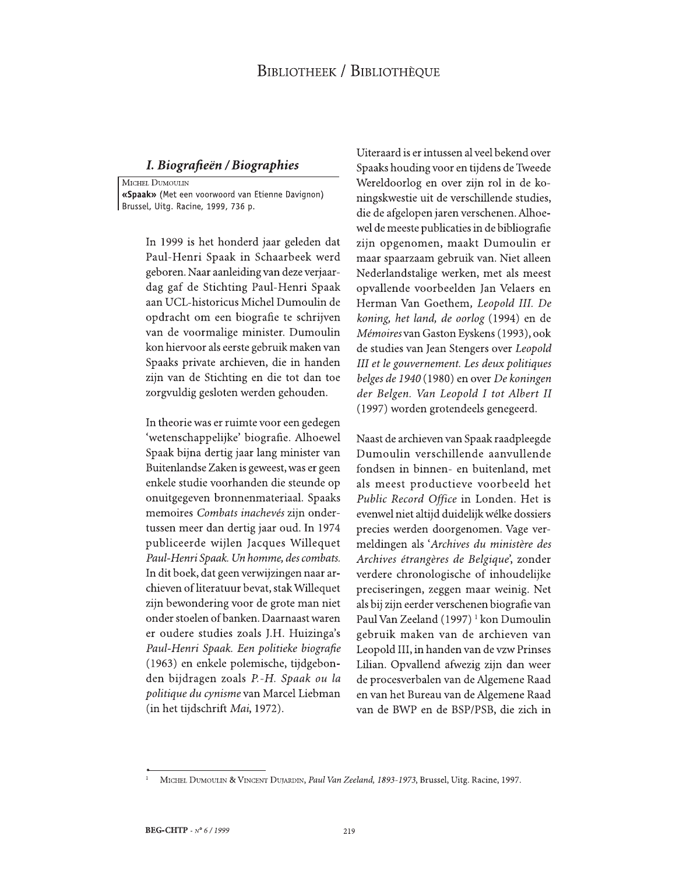## **BIBLIOTHEEK / BIBLIOTHÈQUE**

## I. Biografieën / Biographies

MICHEL DUMOULIN «Spaak» (Met een voorwoord van Etienne Davignon) Brussel, Uitg. Racine, 1999, 736 p.

> In 1999 is het honderd jaar geleden dat Paul-Henri Spaak in Schaarbeek werd geboren. Naar aanleiding van deze verjaardag gaf de Stichting Paul-Henri Spaak aan UCL-historicus Michel Dumoulin de opdracht om een biografie te schrijven van de voormalige minister. Dumoulin kon hiervoor als eerste gebruik maken van Spaaks private archieven, die in handen zijn van de Stichting en die tot dan toe zorgvuldig gesloten werden gehouden.

> In theorie was er ruimte voor een gedegen 'wetenschappelijke' biografie. Alhoewel Spaak bijna dertig jaar lang minister van Buitenlandse Zaken is geweest, was er geen enkele studie voorhanden die steunde op onuitgegeven bronnenmateriaal. Spaaks memoires Combats inachevés zijn ondertussen meer dan dertig jaar oud. In 1974 publiceerde wijlen Jacques Willequet Paul-Henri Spaak. Un homme, des combats. In dit boek, dat geen verwijzingen naar archieven of literatuur bevat, stak Willequet zijn bewondering voor de grote man niet onder stoelen of banken. Daarnaast waren er oudere studies zoals J.H. Huizinga's Paul-Henri Spaak. Een politieke biografie (1963) en enkele polemische, tijdgebonden bijdragen zoals P.-H. Spaak ou la politique du cynisme van Marcel Liebman (in het tijdschrift Mai, 1972).

Uiteraard is er intussen al veel bekend over Spaaks houding voor en tijdens de Tweede Wereldoorlog en over zijn rol in de koningskwestie uit de verschillende studies, die de afgelopen jaren verschenen. Alhoewel de meeste publicaties in de bibliografie zijn opgenomen, maakt Dumoulin er maar spaarzaam gebruik van. Niet alleen Nederlandstalige werken, met als meest opvallende voorbeelden Jan Velaers en Herman Van Goethem, Leopold III. De koning, het land, de oorlog (1994) en de Mémoires van Gaston Eyskens (1993), ook de studies van Jean Stengers over Leopold III et le gouvernement. Les deux politiques belges de 1940 (1980) en over De koningen der Belgen. Van Leopold I tot Albert II (1997) worden grotendeels genegeerd.

Naast de archieven van Spaak raadpleegde Dumoulin verschillende aanvullende fondsen in binnen- en buitenland, met als meest productieve voorbeeld het Public Record Office in Londen. Het is evenwel niet altijd duidelijk wélke dossiers precies werden doorgenomen. Vage vermeldingen als 'Archives du ministère des Archives étrangères de Belgique', zonder verdere chronologische of inhoudelijke preciseringen, zeggen maar weinig. Net als bij zijn eerder verschenen biografie van Paul Van Zeeland (1997)<sup>1</sup> kon Dumoulin gebruik maken van de archieven van Leopold III, in handen van de vzw Prinses Lilian. Opvallend afwezig zijn dan weer de procesverbalen van de Algemene Raad en van het Bureau van de Algemene Raad van de BWP en de BSP/PSB, die zich in

MICHEL DUMOULIN & VINCENT DUJARDIN, Paul Van Zeeland, 1893-1973, Brussel, Uitg. Racine, 1997.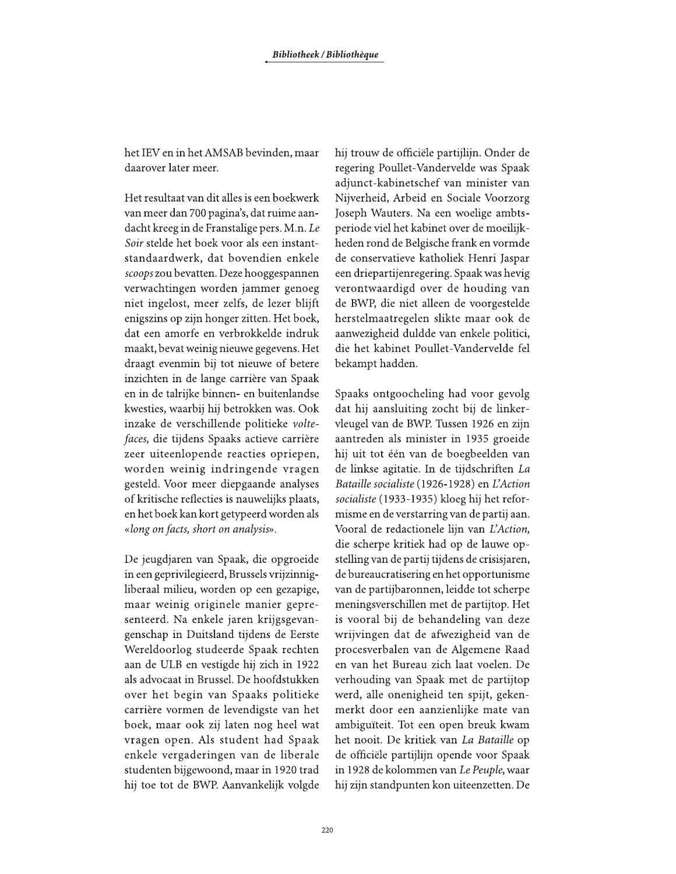het IEV en in het AMSAB bevinden, maar daarover later meer.

Het resultaat van dit alles is een boekwerk van meer dan 700 pagina's, dat ruime aandacht kreeg in de Franstalige pers. M.n. Le Soir stelde het boek voor als een instantstandaardwerk, dat bovendien enkele scoops zou bevatten. Deze hooggespannen verwachtingen worden jammer genoeg niet ingelost, meer zelfs, de lezer blijft enigszins op zijn honger zitten. Het boek, dat een amorfe en verbrokkelde indruk maakt, bevat weinig nieuwe gegevens. Het draagt evenmin bij tot nieuwe of betere inzichten in de lange carrière van Spaak en in de talrijke binnen- en buitenlandse kwesties, waarbij hij betrokken was. Ook inzake de verschillende politieke voltefaces, die tijdens Spaaks actieve carrière zeer uiteenlopende reacties opriepen, worden weinig indringende vragen gesteld. Voor meer diepgaande analyses of kritische reflecties is nauwelijks plaats, en het boek kan kort getypeerd worden als «long on facts, short on analysis».

De jeugdjaren van Spaak, die opgroeide in een geprivilegieerd, Brussels vrijzinnigliberaal milieu, worden op een gezapige, maar weinig originele manier gepresenteerd. Na enkele jaren krijgsgevangenschap in Duitsland tijdens de Eerste Wereldoorlog studeerde Spaak rechten aan de ULB en vestigde hij zich in 1922 als advocaat in Brussel. De hoofdstukken over het begin van Spaaks politieke carrière vormen de levendigste van het boek, maar ook zij laten nog heel wat vragen open. Als student had Spaak enkele vergaderingen van de liberale studenten bijgewoond, maar in 1920 trad hij toe tot de BWP. Aanvankelijk volgde hij trouw de officiële partijlijn. Onder de regering Poullet-Vandervelde was Spaak adjunct-kabinetschef van minister van Nijverheid, Arbeid en Sociale Voorzorg Joseph Wauters. Na een woelige ambtsperiode viel het kabinet over de moeilijkheden rond de Belgische frank en vormde de conservatieve katholiek Henri Jaspar een driepartijenregering. Spaak was hevig verontwaardigd over de houding van de BWP, die niet alleen de voorgestelde herstelmaatregelen slikte maar ook de aanwezigheid duldde van enkele politici, die het kabinet Poullet-Vandervelde fel bekampt hadden.

Spaaks ontgoocheling had voor gevolg dat hij aansluiting zocht bij de linkervleugel van de BWP. Tussen 1926 en zijn aantreden als minister in 1935 groeide hij uit tot één van de boegbeelden van de linkse agitatie. In de tijdschriften La Bataille socialiste (1926-1928) en L'Action socialiste (1933-1935) kloeg hij het reformisme en de verstarring van de partij aan. Vooral de redactionele lijn van L'Action, die scherpe kritiek had op de lauwe opstelling van de partij tijdens de crisisjaren, de bureaucratisering en het opportunisme van de partijbaronnen, leidde tot scherpe meningsverschillen met de partijtop. Het is vooral bij de behandeling van deze wrijvingen dat de afwezigheid van de procesverbalen van de Algemene Raad en van het Bureau zich laat voelen. De verhouding van Spaak met de partijtop werd, alle onenigheid ten spijt, gekenmerkt door een aanzienlijke mate van ambiguïteit. Tot een open breuk kwam het nooit. De kritiek van La Bataille op de officiële partijlijn opende voor Spaak in 1928 de kolommen van Le Peuple, waar hij zijn standpunten kon uiteenzetten. De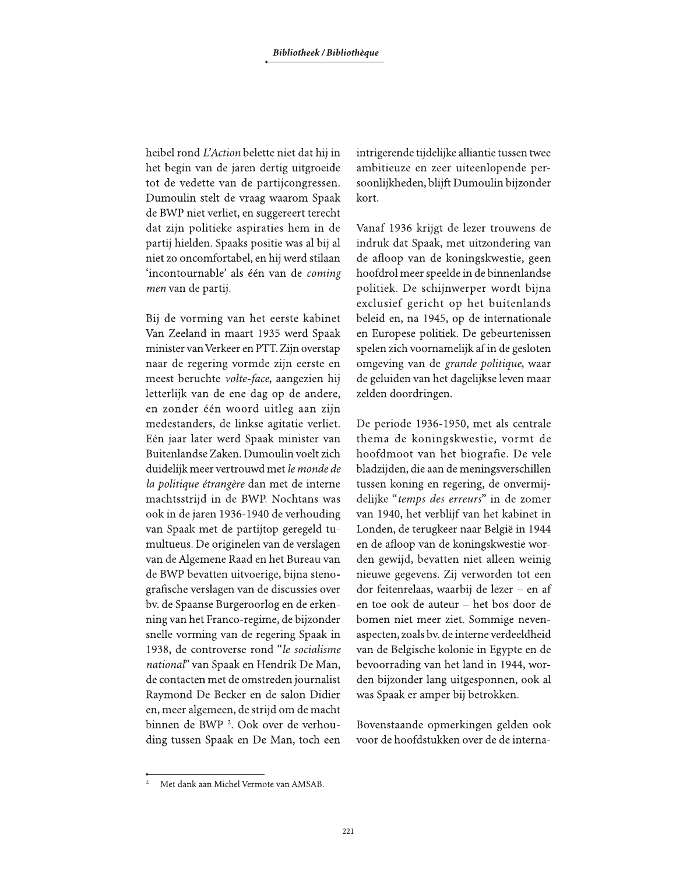heibel rond L'Action belette niet dat hij in het begin van de jaren dertig uitgroeide tot de vedette van de partijcongressen. Dumoulin stelt de vraag waarom Spaak de BWP niet verliet, en suggereert terecht dat zijn politieke aspiraties hem in de partij hielden. Spaaks positie was al bij al niet zo oncomfortabel, en hij werd stilaan 'incontournable' als één van de coming men van de partij.

Bij de vorming van het eerste kabinet Van Zeeland in maart 1935 werd Spaak minister van Verkeer en PTT. Zijn overstap naar de regering vormde zijn eerste en meest beruchte volte-face, aangezien hij letterlijk van de ene dag op de andere, en zonder één woord uitleg aan zijn medestanders, de linkse agitatie verliet. Eén jaar later werd Spaak minister van Buitenlandse Zaken. Dumoulin voelt zich duidelijk meer vertrouwd met le monde de la politique étrangère dan met de interne machtsstrijd in de BWP. Nochtans was ook in de jaren 1936-1940 de verhouding van Spaak met de partijtop geregeld tumultueus. De originelen van de verslagen van de Algemene Raad en het Bureau van de BWP bevatten uitvoerige, bijna stenografische verslagen van de discussies over bv. de Spaanse Burgeroorlog en de erkenning van het Franco-regime, de bijzonder snelle vorming van de regering Spaak in 1938, de controverse rond "le socialisme national" van Spaak en Hendrik De Man, de contacten met de omstreden journalist Raymond De Becker en de salon Didier en, meer algemeen, de strijd om de macht binnen de BWP<sup>2</sup>. Ook over de verhouding tussen Spaak en De Man, toch een intrigerende tijdelijke alliantie tussen twee ambitieuze en zeer uiteenlopende persoonlijkheden, blijft Dumoulin bijzonder kort.

Vanaf 1936 krijgt de lezer trouwens de indruk dat Spaak, met uitzondering van de afloop van de koningskwestie, geen hoofdrol meer speelde in de binnenlandse politiek. De schijnwerper wordt bijna exclusief gericht op het buitenlands beleid en, na 1945, op de internationale en Europese politiek. De gebeurtenissen spelen zich voornamelijk af in de gesloten omgeving van de grande politique, waar de geluiden van het dagelijkse leven maar zelden doordringen.

De periode 1936-1950, met als centrale thema de koningskwestie, vormt de hoofdmoot van het biografie. De vele bladzijden, die aan de meningsverschillen tussen koning en regering, de onvermijdelijke "temps des erreurs" in de zomer van 1940, het verblijf van het kabinet in Londen, de terugkeer naar België in 1944 en de afloop van de koningskwestie worden gewijd, bevatten niet alleen weinig nieuwe gegevens. Zij verworden tot een dor feitenrelaas, waarbij de lezer - en af en toe ook de auteur - het bos door de bomen niet meer ziet. Sommige nevenaspecten, zoals by. de interne verdeeldheid van de Belgische kolonie in Egypte en de bevoorrading van het land in 1944, worden bijzonder lang uitgesponnen, ook al was Spaak er amper bij betrokken.

Bovenstaande opmerkingen gelden ook voor de hoofdstukken over de de interna-

Met dank aan Michel Vermote van AMSAB.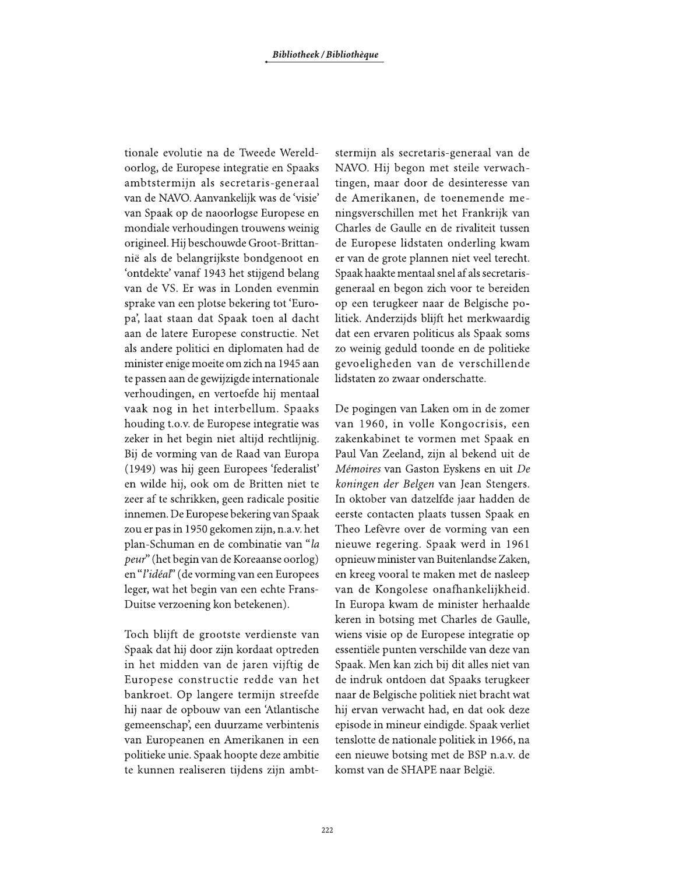tionale evolutie na de Tweede Wereldoorlog, de Europese integratie en Spaaks ambtstermijn als secretaris-generaal van de NAVO. Aanvankelijk was de 'visie' van Spaak op de naoorlogse Europese en mondiale verhoudingen trouwens weinig origineel. Hij beschouwde Groot-Brittannië als de belangrijkste bondgenoot en 'ontdekte' vanaf 1943 het stijgend belang van de VS. Er was in Londen evenmin sprake van een plotse bekering tot 'Europa', laat staan dat Spaak toen al dacht aan de latere Europese constructie. Net als andere politici en diplomaten had de minister enige moeite om zich na 1945 aan te passen aan de gewijzigde internationale verhoudingen, en vertoefde hij mentaal vaak nog in het interbellum. Spaaks houding t.o.v. de Europese integratie was zeker in het begin niet altijd rechtlijnig. Bij de vorming van de Raad van Europa (1949) was hij geen Europees 'federalist' en wilde hij, ook om de Britten niet te zeer af te schrikken, geen radicale positie innemen. De Europese bekering van Spaak zou er pas in 1950 gekomen zijn, n.a.v. het plan-Schuman en de combinatie van "la *peur*" (het begin van de Koreaanse oorlog) en "l'idéal" (de vorming van een Europees leger, wat het begin van een echte Frans-Duitse verzoening kon betekenen).

Toch blijft de grootste verdienste van Spaak dat hij door zijn kordaat optreden in het midden van de jaren vijftig de Europese constructie redde van het bankroet. Op langere termijn streefde hij naar de opbouw van een 'Atlantische gemeenschap', een duurzame verbintenis van Europeanen en Amerikanen in een politieke unie. Spaak hoopte deze ambitie te kunnen realiseren tijdens zijn ambtstermijn als secretaris-generaal van de NAVO. Hij begon met steile verwachtingen, maar door de desinteresse van de Amerikanen, de toenemende meningsverschillen met het Frankrijk van Charles de Gaulle en de rivaliteit tussen de Europese lidstaten onderling kwam er van de grote plannen niet veel terecht. Spaak haakte mentaal snel af als secretarisgeneraal en begon zich voor te bereiden op een terugkeer naar de Belgische politiek. Anderzijds blijft het merkwaardig dat een ervaren politicus als Spaak soms zo weinig geduld toonde en de politieke gevoeligheden van de verschillende lidstaten zo zwaar onderschatte.

De pogingen van Laken om in de zomer van 1960, in volle Kongocrisis, een zakenkabinet te vormen met Spaak en Paul Van Zeeland, zijn al bekend uit de Mémoires van Gaston Eyskens en uit De koningen der Belgen van Jean Stengers. In oktober van datzelfde jaar hadden de eerste contacten plaats tussen Spaak en Theo Lefèvre over de vorming van een nieuwe regering. Spaak werd in 1961 opnieuw minister van Buitenlandse Zaken, en kreeg vooral te maken met de nasleep van de Kongolese onafhankelijkheid. In Europa kwam de minister herhaalde keren in botsing met Charles de Gaulle, wiens visie op de Europese integratie op essentiële punten verschilde van deze van Spaak. Men kan zich bij dit alles niet van de indruk ontdoen dat Spaaks terugkeer naar de Belgische politiek niet bracht wat hij ervan verwacht had, en dat ook deze episode in mineur eindigde. Spaak verliet tenslotte de nationale politiek in 1966, na een nieuwe botsing met de BSP n.a.v. de komst van de SHAPE naar België.